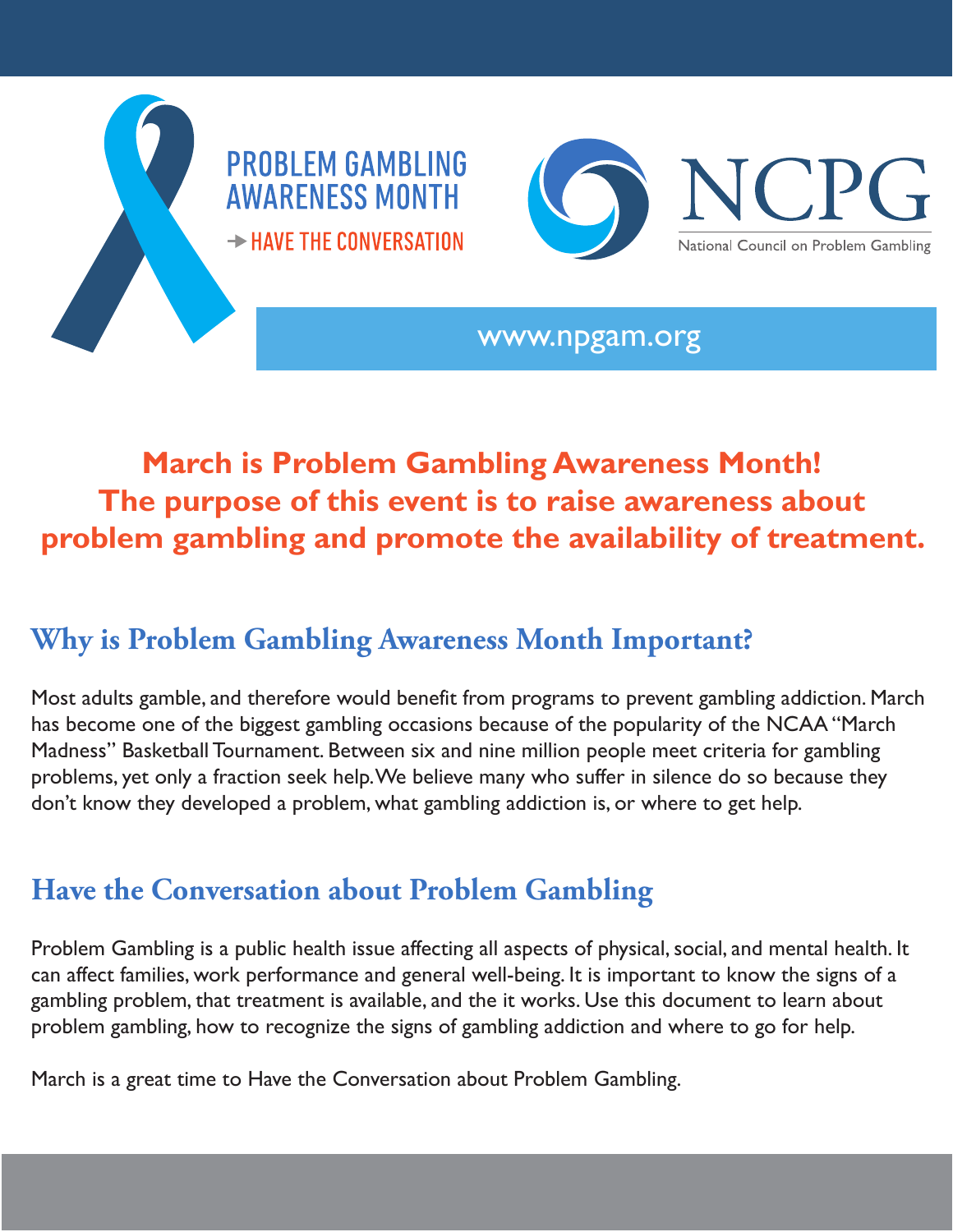



www.npgam.org

## **March is Problem Gambling Awareness Month! The purpose of this event is to raise awareness about problem gambling and promote the availability of treatment.**

## **Why is Problem Gambling Awareness Month Important?**

Most adults gamble, and therefore would benefit from programs to prevent gambling addiction. March has become one of the biggest gambling occasions because of the popularity of the NCAA "March Madness" Basketball Tournament. Between six and nine million people meet criteria for gambling problems, yet only a fraction seek help. We believe many who suffer in silence do so because they don't know they developed a problem, what gambling addiction is, or where to get help.

## **Have the Conversation about Problem Gambling**

Problem Gambling is a public health issue affecting all aspects of physical, social, and mental health. It can affect families, work performance and general well-being. It is important to know the signs of a gambling problem, that treatment is available, and the it works. Use this document to learn about problem gambling, how to recognize the signs of gambling addiction and where to go for help.

March is a great time to Have the Conversation about Problem Gambling.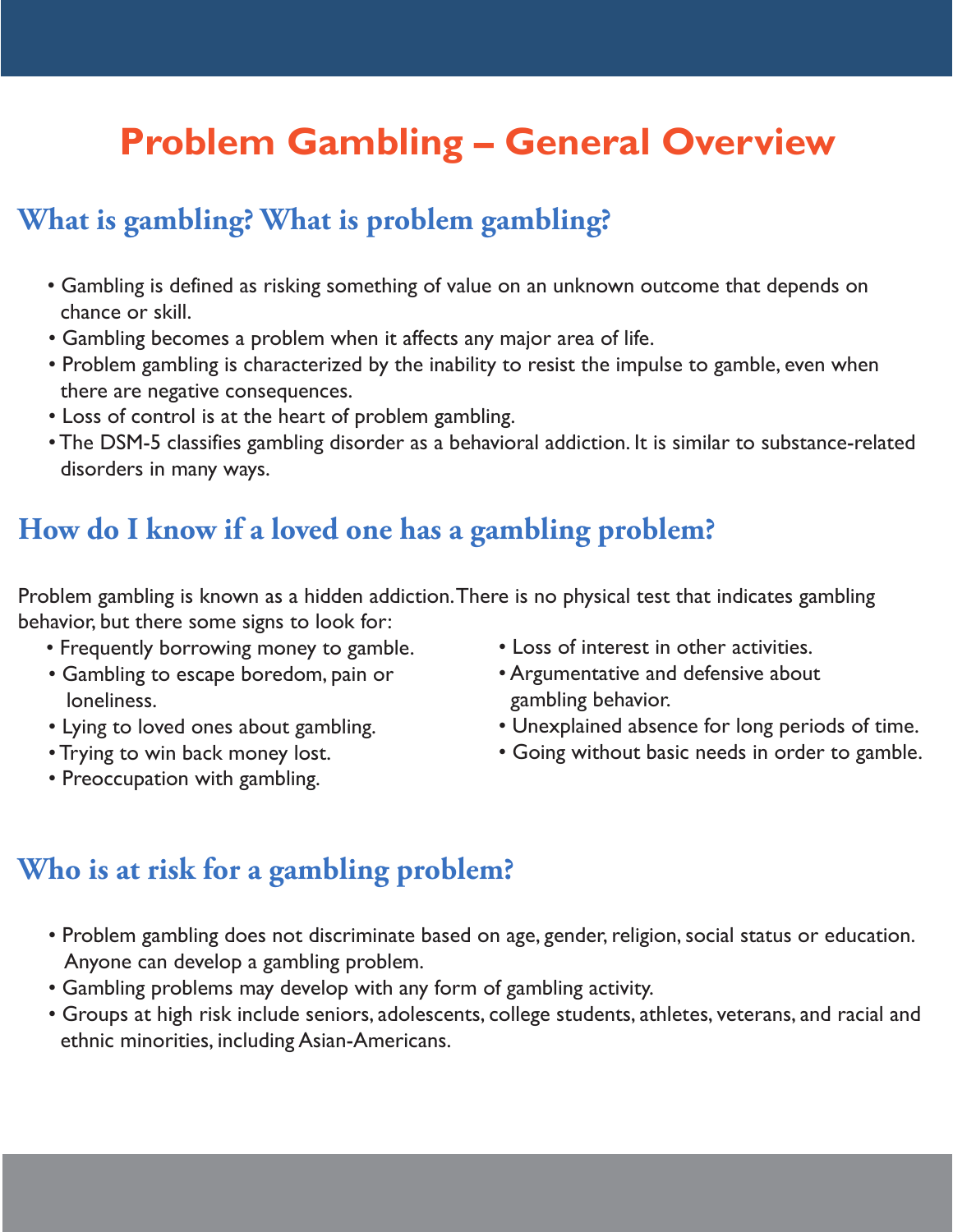# **Problem Gambling – General Overview**

### **What is gambling? What is problem gambling?**

- Gambling is defined as risking something of value on an unknown outcome that depends on chance or skill.
- Gambling becomes a problem when it affects any major area of life.
- Problem gambling is characterized by the inability to resist the impulse to gamble, even when there are negative consequences.
- Loss of control is at the heart of problem gambling.
- The DSM-5 classifies gambling disorder as a behavioral addiction. It is similar to substance-related disorders in many ways.

#### **How do I know if a loved one has a gambling problem?**

Problem gambling is known as a hidden addiction. There is no physical test that indicates gambling behavior, but there some signs to look for:

- Frequently borrowing money to gamble.
- Gambling to escape boredom, pain or loneliness.
- Lying to loved ones about gambling.
- Trying to win back money lost.
- Preoccupation with gambling.
- Loss of interest in other activities.
- Argumentative and defensive about gambling behavior.
- Unexplained absence for long periods of time.
- Going without basic needs in order to gamble.

### **Who is at risk for a gambling problem?**

- Problem gambling does not discriminate based on age, gender, religion, social status or education. Anyone can develop a gambling problem.
- Gambling problems may develop with any form of gambling activity.
- Groups at high risk include seniors, adolescents, college students, athletes, veterans, and racial and ethnic minorities, including Asian-Americans.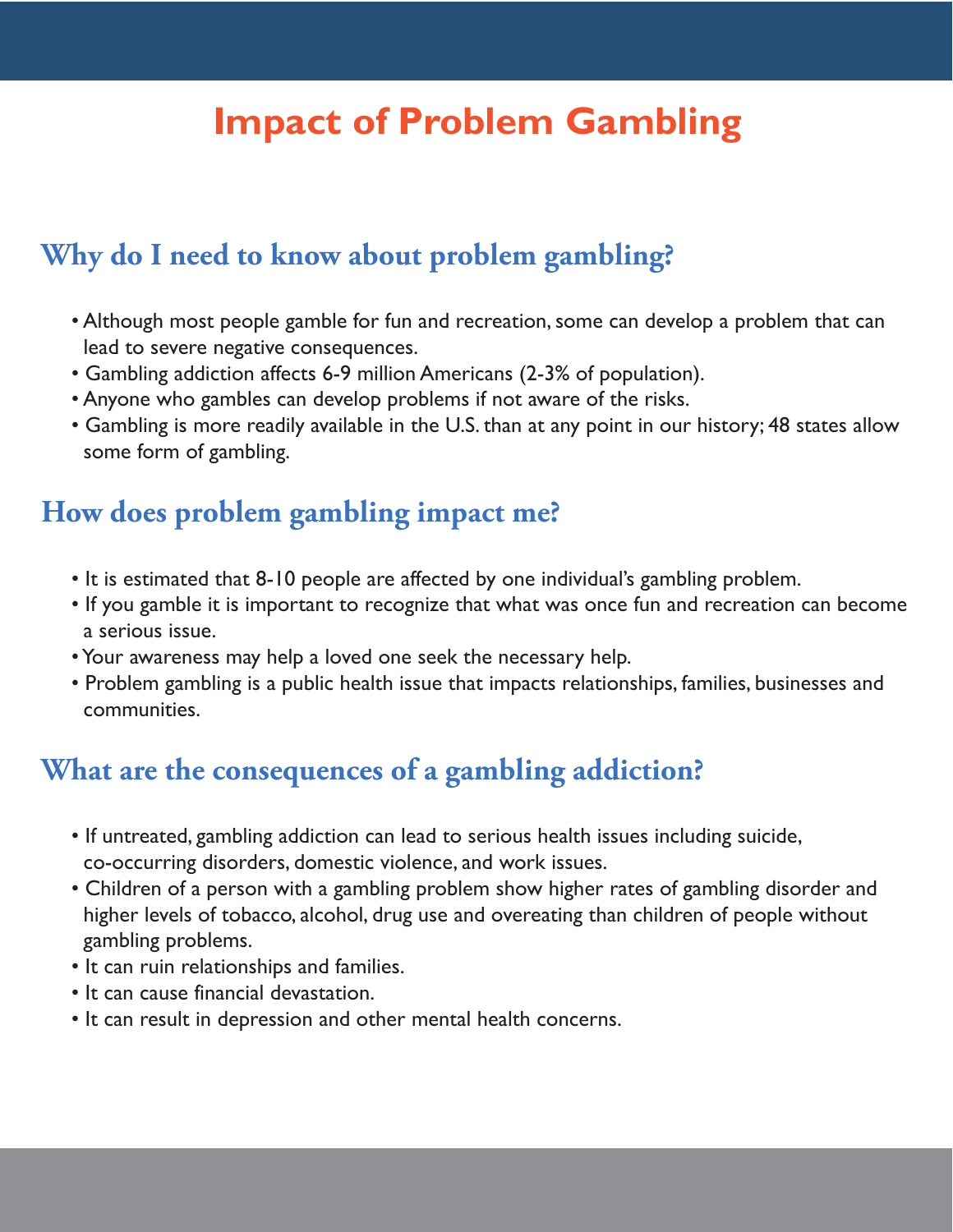## **Impact of Problem Gambling**

## **Why do I need to know about problem gambling?**

- Although most people gamble for fun and recreation, some can develop a problem that can lead to severe negative consequences.
- Gambling addiction affects 6-9 million Americans (2-3% of population).
- Anyone who gambles can develop problems if not aware of the risks.
- Gambling is more readily available in the U.S. than at any point in our history; 48 states allow some form of gambling.

#### **How does problem gambling impact me?**

- It is estimated that 8-10 people are affected by one individual's gambling problem.
- If you gamble it is important to recognize that what was once fun and recreation can become a serious issue.
- Your awareness may help a loved one seek the necessary help.
- Problem gambling is a public health issue that impacts relationships, families, businesses and communities.

#### **What are the consequences of a gambling addiction?**

- If untreated, gambling addiction can lead to serious health issues including suicide, co-occurring disorders, domestic violence, and work issues.
- Children of a person with a gambling problem show higher rates of gambling disorder and higher levels of tobacco, alcohol, drug use and overeating than children of people without gambling problems.
- It can ruin relationships and families.
- It can cause financial devastation.
- It can result in depression and other mental health concerns.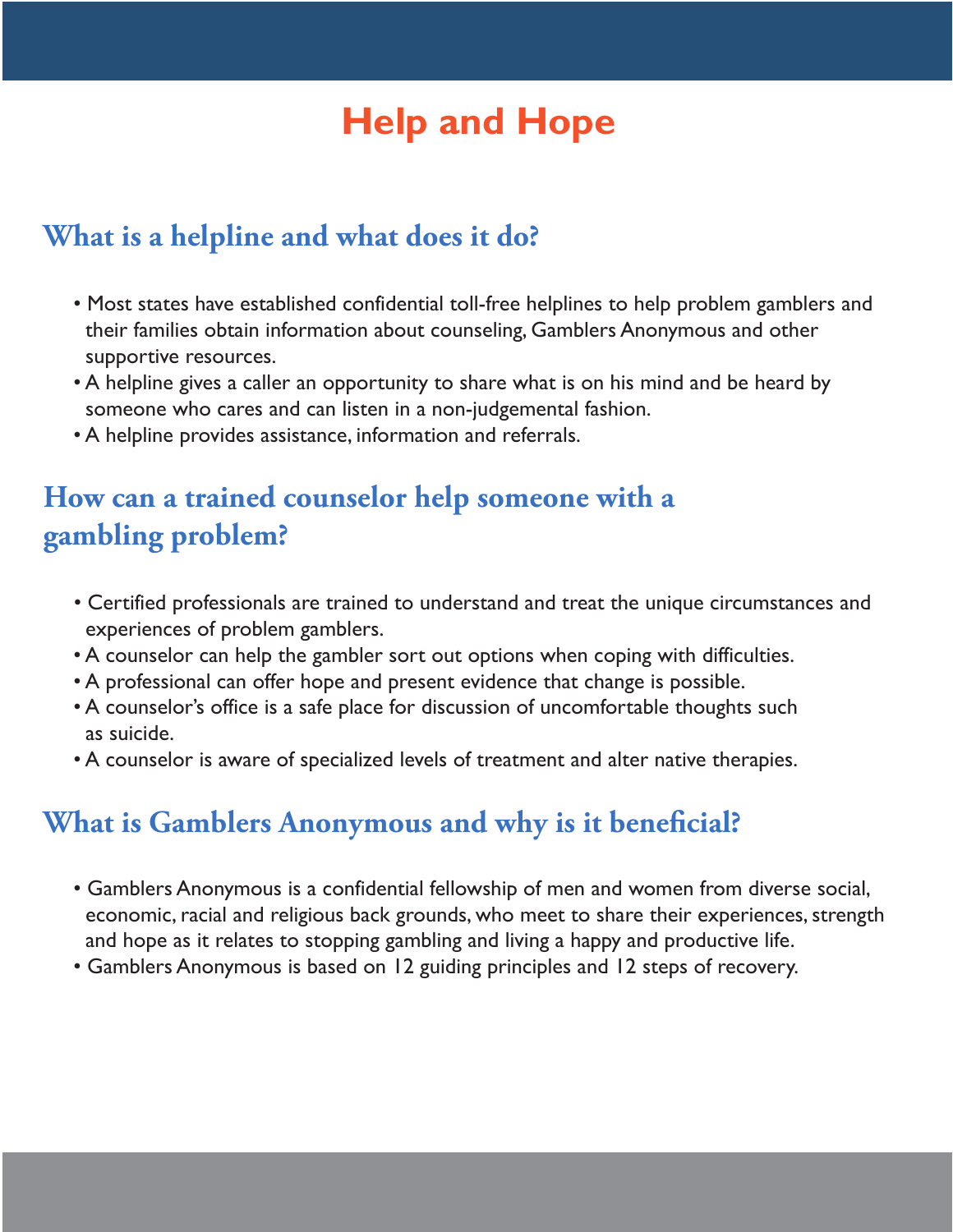## **Help and Hope**

#### **What is a helpline and what does it do?**

- Most states have established confidential toll-free helplines to help problem gamblers and their families obtain information about counseling, Gamblers Anonymous and other supportive resources.
- A helpline gives a caller an opportunity to share what is on his mind and be heard by someone who cares and can listen in a non-judgemental fashion.
- A helpline provides assistance, information and referrals.

### **How can a trained counselor help someone with a gambling problem?**

- Certified professionals are trained to understand and treat the unique circumstances and experiences of problem gamblers.
- A counselor can help the gambler sort out options when coping with difficulties.
- A professional can offer hope and present evidence that change is possible.
- A counselor's office is a safe place for discussion of uncomfortable thoughts such as suicide.
- A counselor is aware of specialized levels of treatment and alter native therapies.

#### **What is Gamblers Anonymous and why is it beneficial?**

- Gamblers Anonymous is a confidential fellowship of men and women from diverse social, economic, racial and religious back grounds, who meet to share their experiences, strength and hope as it relates to stopping gambling and living a happy and productive life.
- Gamblers Anonymous is based on 12 guiding principles and 12 steps of recovery.